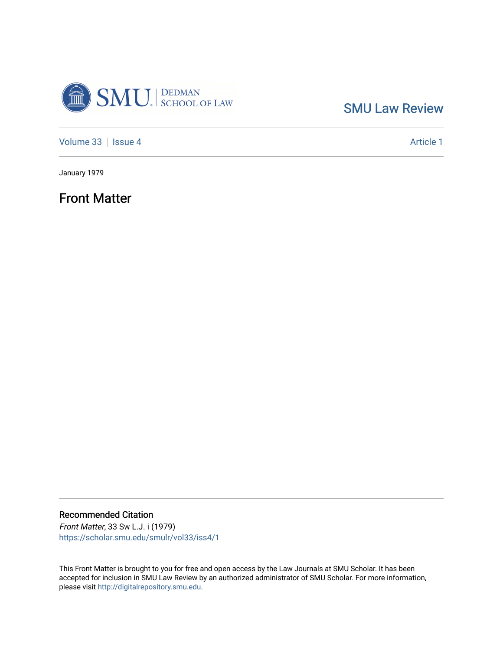

[SMU Law Review](https://scholar.smu.edu/smulr) 

[Volume 33](https://scholar.smu.edu/smulr/vol33) | [Issue 4](https://scholar.smu.edu/smulr/vol33/iss4) Article 1

January 1979

Front Matter

Recommended Citation

Front Matter, 33 SW L.J. i (1979) [https://scholar.smu.edu/smulr/vol33/iss4/1](https://scholar.smu.edu/smulr/vol33/iss4/1?utm_source=scholar.smu.edu%2Fsmulr%2Fvol33%2Fiss4%2F1&utm_medium=PDF&utm_campaign=PDFCoverPages) 

This Front Matter is brought to you for free and open access by the Law Journals at SMU Scholar. It has been accepted for inclusion in SMU Law Review by an authorized administrator of SMU Scholar. For more information, please visit [http://digitalrepository.smu.edu.](http://digitalrepository.smu.edu/)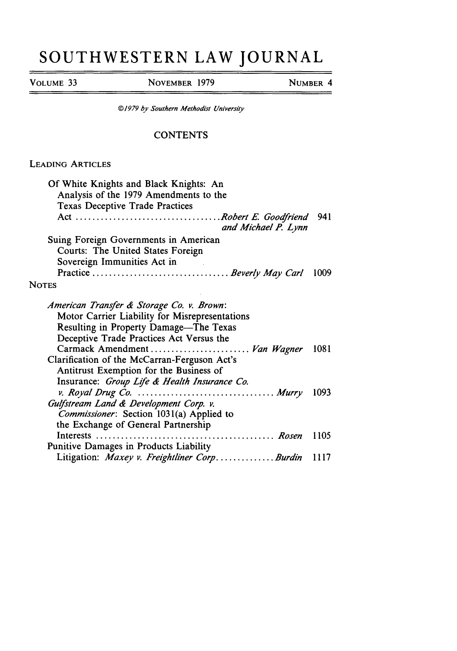## **SOUTHWESTERN LAW JOURNAL**

**VOLUME 33 NOVEMBER 1979 NUMBER** 4

*@1979 by* Southern Methodist *Uniersity*

## **CONTENTS**

## **LEADING** ARTICLES

| Of White Knights and Black Knights: An<br>Analysis of the 1979 Amendments to the<br><b>Texas Deceptive Trade Practices</b>                                                        |      |
|-----------------------------------------------------------------------------------------------------------------------------------------------------------------------------------|------|
| and Michael P. Lynn                                                                                                                                                               | 941  |
| Suing Foreign Governments in American                                                                                                                                             |      |
| Courts: The United States Foreign<br>Sovereign Immunities Act in                                                                                                                  |      |
|                                                                                                                                                                                   | 1009 |
| <b>NOTES</b>                                                                                                                                                                      |      |
| American Transfer & Storage Co. v. Brown:<br>Motor Carrier Liability for Misrepresentations<br>Resulting in Property Damage-The Texas<br>Deceptive Trade Practices Act Versus the |      |
| Carmack Amendment  Van Wagner<br>Clarification of the McCarran-Ferguson Act's<br>Antitrust Exemption for the Business of<br>Insurance: Group Life & Health Insurance Co.          | 1081 |
| Gulfstream Land & Development Corp. v.<br>Commissioner: Section 1031(a) Applied to<br>the Exchange of General Partnership                                                         | 1093 |
|                                                                                                                                                                                   | 1105 |
| Punitive Damages in Products Liability                                                                                                                                            |      |
| Litigation: Maxey v. Freightliner CorpBurdin                                                                                                                                      | 1117 |